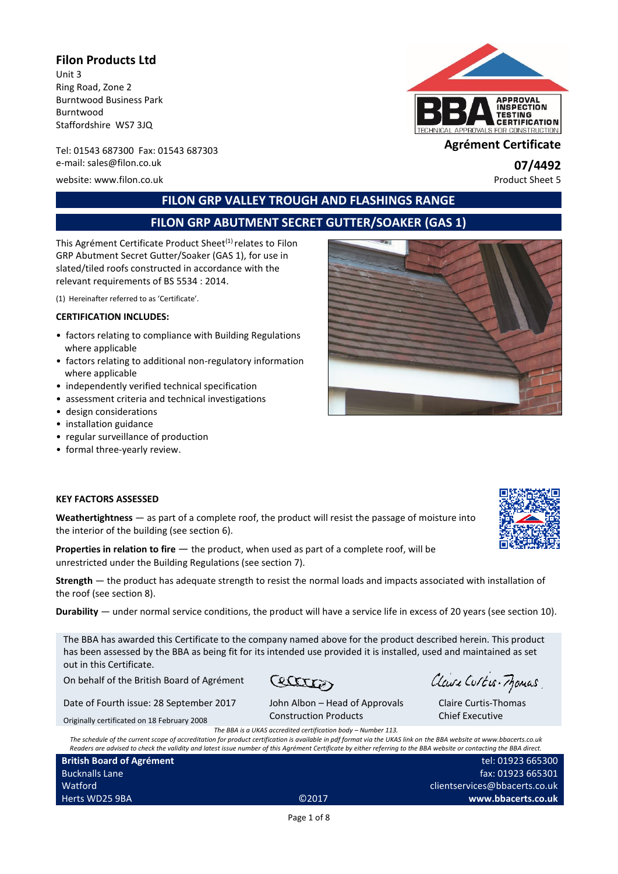#### **Filon Products Ltd**

Unit 3 Ring Road, Zone 2 Burntwood Business Park Burntwood Staffordshire WS7 3JQ

Tel: 01543 687300 Fax: 01543 <sup>687303</sup> **Agrément Certificate** e-mail: sales@filon.co.uk **07/4492**<br>
website: www.filon.co.uk **07/4492**<br>
Product Sheet 5

website: www.filon.co.uk



# **FILON GRP VALLEY TROUGH AND FLASHINGS RANGE**

# **FILON GRP ABUTMENT SECRET GUTTER/SOAKER (GAS 1)**

This Agrément Certificate Product Sheet<sup>(1)</sup> relates to Filon GRP Abutment Secret Gutter/Soaker (GAS 1), for use in slated/tiled roofs constructed in accordance with the relevant requirements of BS 5534 : 2014.

(1) Hereinafter referred to as 'Certificate'.

#### **CERTIFICATION INCLUDES:**

- factors relating to compliance with Building Regulations where applicable
- factors relating to additional non-regulatory information where applicable
- independently verified technical specification
- assessment criteria and technical investigations
- design considerations
- installation guidance
- regular surveillance of production
- formal three-yearly review.



#### **KEY FACTORS ASSESSED**

**Weathertightness** — as part of a complete roof, the product will resist the passage of moisture into the interior of the building (see section 6).

**Properties in relation to fire**  $-$  the product, when used as part of a complete roof, will be unrestricted under the Building Regulations (see section 7).

**Strength** — the product has adequate strength to resist the normal loads and impacts associated with installation of the roof (see section 8).

**Durability** — under normal service conditions, the product will have a service life in excess of 20 years (see section 10).

The BBA has awarded this Certificate to the company named above for the product described herein. This product has been assessed by the BBA as being fit for its intended use provided it is installed, used and maintained as set out in this Certificate.

On behalf of the British Board of Agrément

Cectation

Date of Fourth issue: 28 September 2017

ment

John Albon – Head of Approvals Construction Products

Claire Curtis-Frances

Claire Curtis-Thomas Chief Executive

Originally certificated on 18 February 2008

*The BBA is a UKAS accredited certification body – Number 113.*

*The schedule of the current scope of accreditation for product certification is available in pdf format via the UKAS link on the BBA website at www.bbacerts.co.uk Readers are advised to check the validity and latest issue number of this Agrément Certificate by either referring to the BBA website or contacting the BBA direct.*

| <b>British Board of Agrement</b> |       |  |
|----------------------------------|-------|--|
| <b>Bucknalls Lane</b>            |       |  |
| Watford                          |       |  |
| Herts WD25 9BA                   | ©2017 |  |

tel: 01923 665300 fax: 01923 665301 clientservices@bbacerts.co.uk **www.bbacerts.co.uk**

Page 1 of 8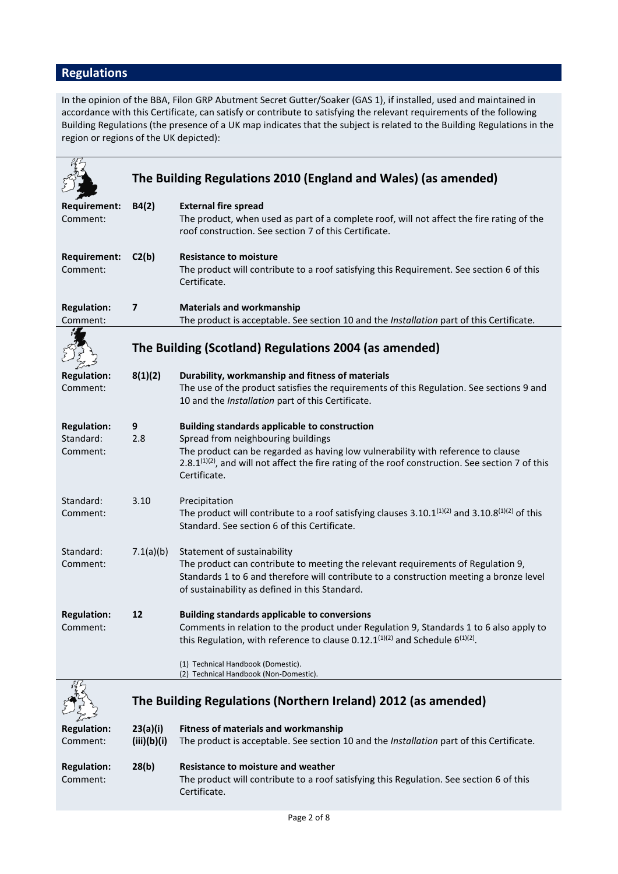# **Regulations**

In the opinion of the BBA, Filon GRP Abutment Secret Gutter/Soaker (GAS 1), if installed, used and maintained in accordance with this Certificate, can satisfy or contribute to satisfying the relevant requirements of the following Building Regulations (the presence of a UK map indicates that the subject is related to the Building Regulations in the region or regions of the UK depicted):

|                                             |                         | The Building Regulations 2010 (England and Wales) (as amended)                                                                                                                                                                                                                                                                  |
|---------------------------------------------|-------------------------|---------------------------------------------------------------------------------------------------------------------------------------------------------------------------------------------------------------------------------------------------------------------------------------------------------------------------------|
|                                             |                         |                                                                                                                                                                                                                                                                                                                                 |
| <b>Requirement:</b><br>Comment:             | B4(2)                   | <b>External fire spread</b><br>The product, when used as part of a complete roof, will not affect the fire rating of the<br>roof construction. See section 7 of this Certificate.                                                                                                                                               |
| <b>Requirement:</b><br>Comment:             | C2(b)                   | <b>Resistance to moisture</b><br>The product will contribute to a roof satisfying this Requirement. See section 6 of this<br>Certificate.                                                                                                                                                                                       |
| <b>Regulation:</b><br>Comment:              | $\overline{\mathbf{z}}$ | <b>Materials and workmanship</b><br>The product is acceptable. See section 10 and the Installation part of this Certificate.                                                                                                                                                                                                    |
|                                             |                         |                                                                                                                                                                                                                                                                                                                                 |
|                                             |                         | The Building (Scotland) Regulations 2004 (as amended)                                                                                                                                                                                                                                                                           |
| <b>Regulation:</b><br>Comment:              | 8(1)(2)                 | Durability, workmanship and fitness of materials<br>The use of the product satisfies the requirements of this Regulation. See sections 9 and<br>10 and the Installation part of this Certificate.                                                                                                                               |
| <b>Regulation:</b><br>Standard:<br>Comment: | 9<br>2.8                | <b>Building standards applicable to construction</b><br>Spread from neighbouring buildings<br>The product can be regarded as having low vulnerability with reference to clause<br>2.8.1 <sup>(1)(2)</sup> , and will not affect the fire rating of the roof construction. See section 7 of this<br>Certificate.                 |
| Standard:<br>Comment:                       | 3.10                    | Precipitation<br>The product will contribute to a roof satisfying clauses $3.10.1^{(1)(2)}$ and $3.10.8^{(1)(2)}$ of this<br>Standard. See section 6 of this Certificate.                                                                                                                                                       |
| Standard:<br>Comment:                       | 7.1(a)(b)               | Statement of sustainability<br>The product can contribute to meeting the relevant requirements of Regulation 9,<br>Standards 1 to 6 and therefore will contribute to a construction meeting a bronze level<br>of sustainability as defined in this Standard.                                                                    |
| <b>Regulation:</b><br>Comment:              | 12                      | <b>Building standards applicable to conversions</b><br>Comments in relation to the product under Regulation 9, Standards 1 to 6 also apply to<br>this Regulation, with reference to clause 0.12.1 <sup>(1)(2)</sup> and Schedule $6^{(1)(2)}$ .<br>(1) Technical Handbook (Domestic).<br>(2) Technical Handbook (Non-Domestic). |
|                                             |                         | The Building Regulations (Northern Ireland) 2012 (as amended)                                                                                                                                                                                                                                                                   |
| <b>Regulation:</b><br>Comment:              | 23(a)(i)<br>(iii)(b)(i) | <b>Fitness of materials and workmanship</b><br>The product is acceptable. See section 10 and the Installation part of this Certificate.                                                                                                                                                                                         |
| <b>Regulation:</b><br>Comment:              | 28(b)                   | Resistance to moisture and weather<br>The product will contribute to a roof satisfying this Regulation. See section 6 of this<br>Certificate.                                                                                                                                                                                   |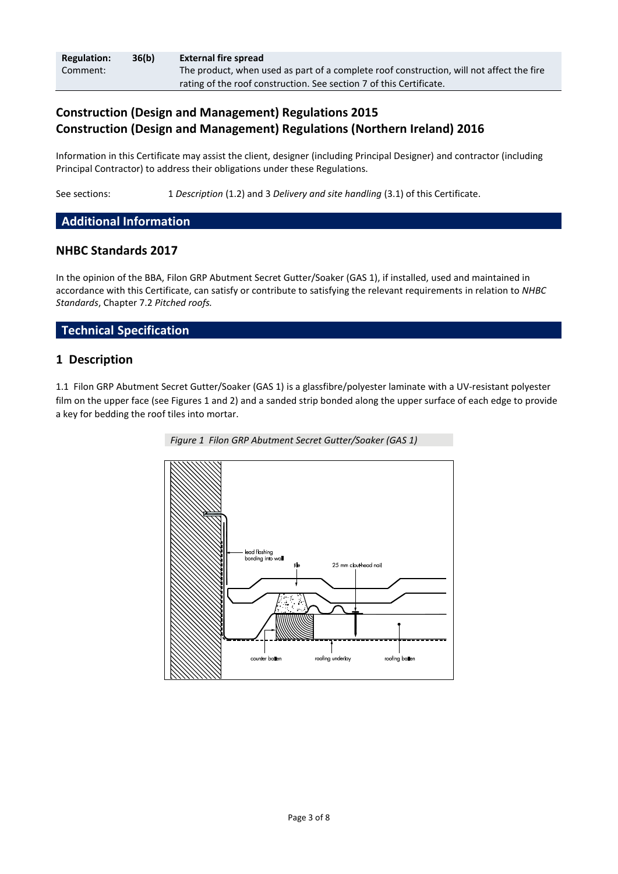| <b>Regulation:</b> | 36(b) | <b>External fire spread</b>                                                              |
|--------------------|-------|------------------------------------------------------------------------------------------|
| Comment:           |       | The product, when used as part of a complete roof construction, will not affect the fire |
|                    |       | rating of the roof construction. See section 7 of this Certificate.                      |

# **Construction (Design and Management) Regulations 2015 Construction (Design and Management) Regulations (Northern Ireland) 2016**

Information in this Certificate may assist the client, designer (including Principal Designer) and contractor (including Principal Contractor) to address their obligations under these Regulations.

See sections: 1 *Description* (1.2) and 3 *Delivery and site handling* (3.1) of this Certificate.

#### **Additional Information**

#### **NHBC Standards 2017**

In the opinion of the BBA, Filon GRP Abutment Secret Gutter/Soaker (GAS 1), if installed, used and maintained in accordance with this Certificate, can satisfy or contribute to satisfying the relevant requirements in relation to *NHBC Standards*, Chapter 7.2 *Pitched roofs.*

#### **Technical Specification**

#### **1 Description**

1.1 Filon GRP Abutment Secret Gutter/Soaker (GAS 1) is a glassfibre/polyester laminate with a UV-resistant polyester film on the upper face (see Figures 1 and 2) and a sanded strip bonded along the upper surface of each edge to provide a key for bedding the roof tiles into mortar.



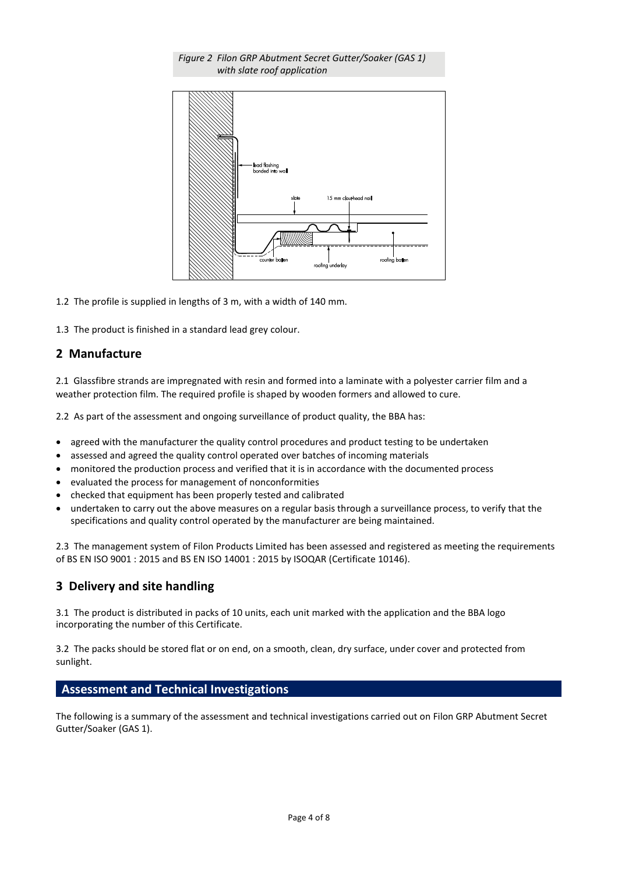



1.2 The profile is supplied in lengths of 3 m, with a width of 140 mm.

1.3 The product is finished in a standard lead grey colour.

### **2 Manufacture**

2.1 Glassfibre strands are impregnated with resin and formed into a laminate with a polyester carrier film and a weather protection film. The required profile is shaped by wooden formers and allowed to cure.

2.2 As part of the assessment and ongoing surveillance of product quality, the BBA has:

- agreed with the manufacturer the quality control procedures and product testing to be undertaken
- assessed and agreed the quality control operated over batches of incoming materials
- monitored the production process and verified that it is in accordance with the documented process
- evaluated the process for management of nonconformities
- checked that equipment has been properly tested and calibrated
- undertaken to carry out the above measures on a regular basis through a surveillance process, to verify that the specifications and quality control operated by the manufacturer are being maintained.

2.3 The management system of Filon Products Limited has been assessed and registered as meeting the requirements of BS EN ISO 9001 : 2015 and BS EN ISO 14001 : 2015 by ISOQAR (Certificate 10146).

#### **3 Delivery and site handling**

3.1 The product is distributed in packs of 10 units, each unit marked with the application and the BBA logo incorporating the number of this Certificate.

3.2 The packs should be stored flat or on end, on a smooth, clean, dry surface, under cover and protected from sunlight.

#### **Assessment and Technical Investigations**

The following is a summary of the assessment and technical investigations carried out on Filon GRP Abutment Secret Gutter/Soaker (GAS 1).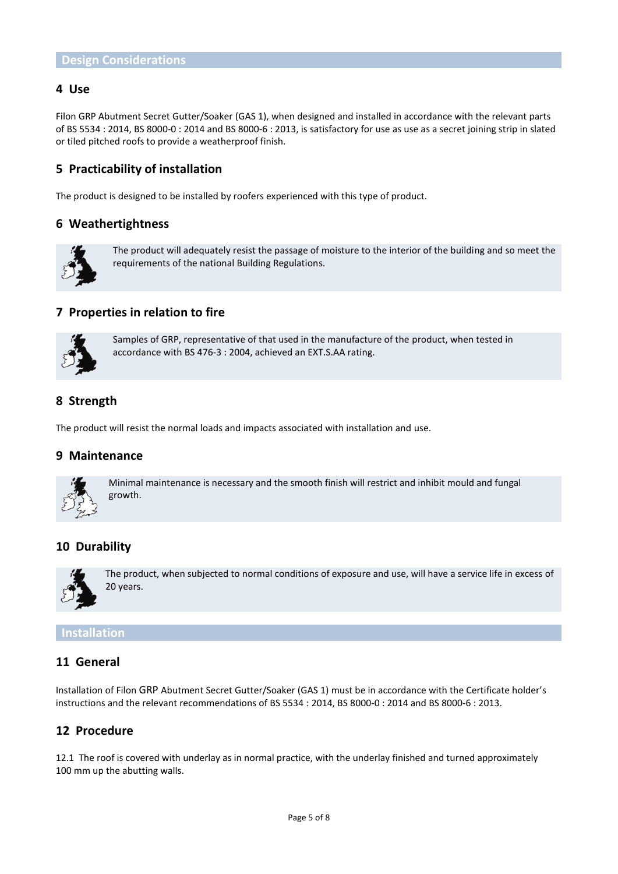#### **4 Use**

Filon GRP Abutment Secret Gutter/Soaker (GAS 1), when designed and installed in accordance with the relevant parts of BS 5534 : 2014, BS 8000-0 : 2014 and BS 8000-6 : 2013, is satisfactory for use as use as a secret joining strip in slated or tiled pitched roofs to provide a weatherproof finish.

# **5 Practicability of installation**

The product is designed to be installed by roofers experienced with this type of product.

#### **6 Weathertightness**



The product will adequately resist the passage of moisture to the interior of the building and so meet the requirements of the national Building Regulations.

#### **7 Properties in relation to fire**



Samples of GRP, representative of that used in the manufacture of the product, when tested in accordance with BS 476-3 : 2004, achieved an EXT.S.AA rating.

### **8 Strength**

The product will resist the normal loads and impacts associated with installation and use.

#### **9 Maintenance**



Minimal maintenance is necessary and the smooth finish will restrict and inhibit mould and fungal growth.

# **10 Durability**



The product, when subjected to normal conditions of exposure and use, will have a service life in excess of 20 years.

#### **Installation**

#### **11 General**

Installation of Filon GRP Abutment Secret Gutter/Soaker (GAS 1) must be in accordance with the Certificate holder's instructions and the relevant recommendations of BS 5534 : 2014, BS 8000-0 : 2014 and BS 8000-6 : 2013.

#### **12 Procedure**

12.1 The roof is covered with underlay as in normal practice, with the underlay finished and turned approximately 100 mm up the abutting walls.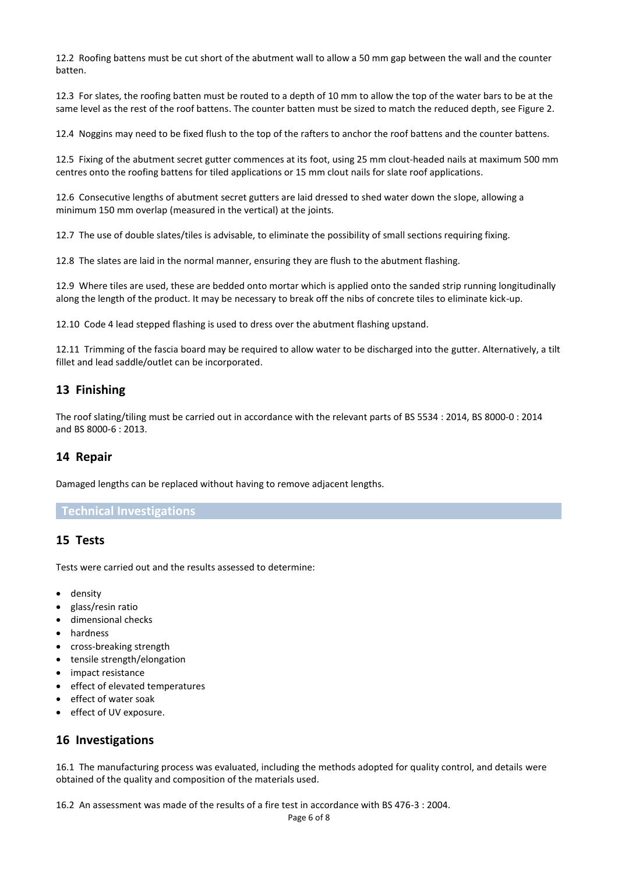12.2 Roofing battens must be cut short of the abutment wall to allow a 50 mm gap between the wall and the counter batten.

12.3 For slates, the roofing batten must be routed to a depth of 10 mm to allow the top of the water bars to be at the same level as the rest of the roof battens. The counter batten must be sized to match the reduced depth, see Figure 2.

12.4 Noggins may need to be fixed flush to the top of the rafters to anchor the roof battens and the counter battens.

12.5 Fixing of the abutment secret gutter commences at its foot, using 25 mm clout-headed nails at maximum 500 mm centres onto the roofing battens for tiled applications or 15 mm clout nails for slate roof applications.

12.6 Consecutive lengths of abutment secret gutters are laid dressed to shed water down the slope, allowing a minimum 150 mm overlap (measured in the vertical) at the joints.

12.7 The use of double slates/tiles is advisable, to eliminate the possibility of small sections requiring fixing.

12.8 The slates are laid in the normal manner, ensuring they are flush to the abutment flashing.

12.9 Where tiles are used, these are bedded onto mortar which is applied onto the sanded strip running longitudinally along the length of the product. It may be necessary to break off the nibs of concrete tiles to eliminate kick-up.

12.10 Code 4 lead stepped flashing is used to dress over the abutment flashing upstand.

12.11 Trimming of the fascia board may be required to allow water to be discharged into the gutter. Alternatively, a tilt fillet and lead saddle/outlet can be incorporated.

### **13 Finishing**

The roof slating/tiling must be carried out in accordance with the relevant parts of BS 5534 : 2014, BS 8000-0 : 2014 and BS 8000-6 : 2013.

#### **14 Repair**

Damaged lengths can be replaced without having to remove adjacent lengths.

#### **Technical Investigations**

#### **15 Tests**

Tests were carried out and the results assessed to determine:

- density
- glass/resin ratio
- dimensional checks
- hardness
- cross-breaking strength
- tensile strength/elongation
- impact resistance
- effect of elevated temperatures
- **e** effect of water soak
- effect of UV exposure.

#### **16 Investigations**

16.1 The manufacturing process was evaluated, including the methods adopted for quality control, and details were obtained of the quality and composition of the materials used.

16.2 An assessment was made of the results of a fire test in accordance with BS 476-3 : 2004.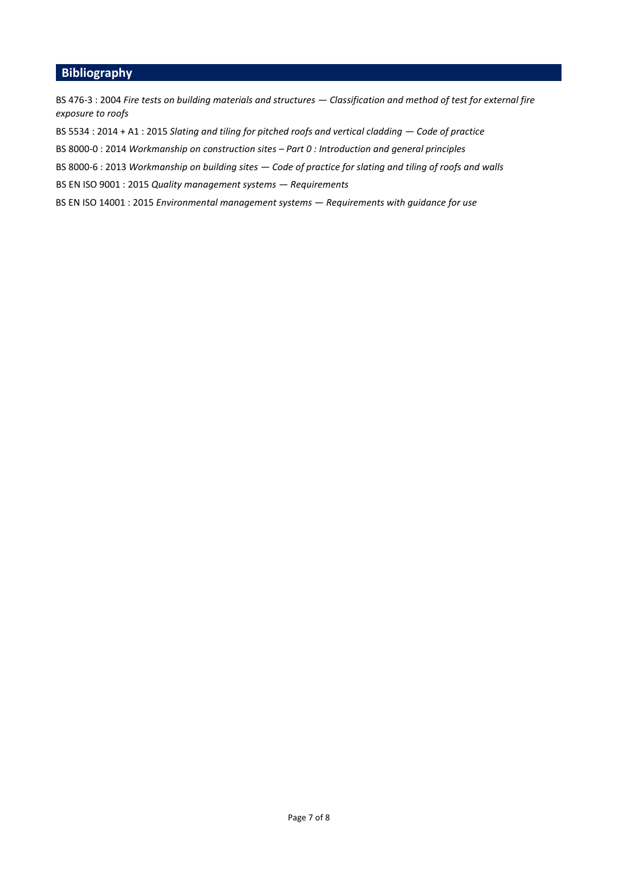# **Bibliography**

BS 476-3 : 2004 *Fire tests on building materials and structures — Classification and method of test for external fire exposure to roofs*

BS 5534 : 2014 + A1 : 2015 *Slating and tiling for pitched roofs and vertical cladding — Code of practice*

BS 8000-0 : 2014 *Workmanship on construction sites – Part 0 : Introduction and general principles*

BS 8000-6 : 2013 *Workmanship on building sites — Code of practice for slating and tiling of roofs and walls*

BS EN ISO 9001 : 2015 *Quality management systems — Requirements*

BS EN ISO 14001 : 2015 *Environmental management systems — Requirements with guidance for use*